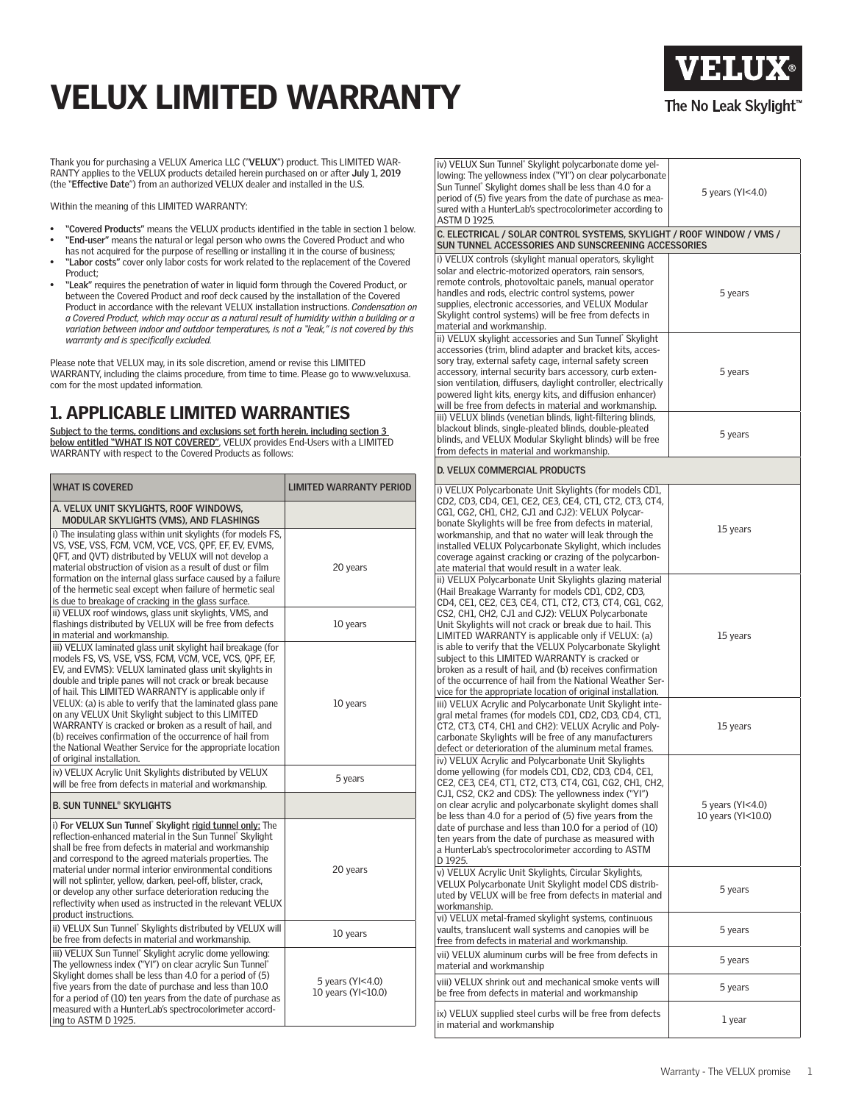# VELUX LIMITED WARRANTY



Thank you for purchasing a VELUX America LLC ("**VELUX**") product. This LIMITED WAR-RANTY applies to the VELUX products detailed herein purchased on or after **July 1, 2019** (the "**Effective Date**") from an authorized VELUX dealer and installed in the U.S.

Within the meaning of this LIMITED WARRANTY:

- **• "Covered Products"** means the VELUX products identified in the table in section 1 below. **• "End-user"** means the natural or legal person who owns the Covered Product and who
- has not acquired for the purpose of reselling or installing it in the course of business; **• "Labor costs"** cover only labor costs for work related to the replacement of the Covered Product;
- **• "Leak"** requires the penetration of water in liquid form through the Covered Product, or between the Covered Product and roof deck caused by the installation of the Covered Product in accordance with the relevant VELUX installation instructions. *Condensation on a Covered Product, which may occur as a natural result of humidity within a building or a variation between indoor and outdoor temperatures, is not a "leak," is not covered by this warranty and is specifically excluded.*

Please note that VELUX may, in its sole discretion, amend or revise this LIMITED WARRANTY, including the claims procedure, from time to time. Please go to www.veluxusa. com for the most updated information.

### 1. APPLICABLE LIMITED WARRANTIES

<u>Subject to the terms, conditions and exclusions set forth herein, including section 3</u><br><u>below entitled "WHAT IS NOT COVERED"</u>, VELUX provides End-Users with a LIMITED<br>WARRANTY with respect to the Covered Products as follo

| <b>WHAT IS COVERED</b>                                                                                                                                                                                                                                                                                                                                                                                                                                                                                                                                                                                                                | <b>LIMITED WARRANTY PERIOD</b>         |
|---------------------------------------------------------------------------------------------------------------------------------------------------------------------------------------------------------------------------------------------------------------------------------------------------------------------------------------------------------------------------------------------------------------------------------------------------------------------------------------------------------------------------------------------------------------------------------------------------------------------------------------|----------------------------------------|
| A. VELUX UNIT SKYLIGHTS, ROOF WINDOWS,<br>MODULAR SKYLIGHTS (VMS), AND FLASHINGS                                                                                                                                                                                                                                                                                                                                                                                                                                                                                                                                                      |                                        |
| i) The insulating glass within unit skylights (for models FS,<br>VS, VSE, VSS, FCM, VCM, VCE, VCS, OPF, EF, EV, EVMS,<br>QFT, and QVT) distributed by VELUX will not develop a<br>material obstruction of vision as a result of dust or film<br>formation on the internal glass surface caused by a failure<br>of the hermetic seal except when failure of hermetic seal<br>is due to breakage of cracking in the glass surface.                                                                                                                                                                                                      | 20 years                               |
| ii) VELUX roof windows, glass unit skylights, VMS, and<br>flashings distributed by VELUX will be free from defects<br>in material and workmanship.                                                                                                                                                                                                                                                                                                                                                                                                                                                                                    | 10 years                               |
| iii) VELUX laminated glass unit skylight hail breakage (for<br>models FS, VS, VSE, VSS, FCM, VCM, VCE, VCS, OPF, EF,<br>EV, and EVMS): VELUX laminated glass unit skylights in<br>double and triple panes will not crack or break because<br>of hail. This LIMITED WARRANTY is applicable only if<br>VELUX: (a) is able to verify that the laminated glass pane<br>on any VELUX Unit Skylight subject to this LIMITED<br>WARRANTY is cracked or broken as a result of hail, and<br>(b) receives confirmation of the occurrence of hail from<br>the National Weather Service for the appropriate location<br>of original installation. | 10 years                               |
| iv) VELUX Acrylic Unit Skylights distributed by VELUX<br>will be free from defects in material and workmanship.                                                                                                                                                                                                                                                                                                                                                                                                                                                                                                                       | 5 years                                |
| <b>B. SUN TUNNEL® SKYLIGHTS</b>                                                                                                                                                                                                                                                                                                                                                                                                                                                                                                                                                                                                       |                                        |
| i) For VELUX Sun Tunnel' Skylight rigid tunnel only: The<br>reflection-enhanced material in the Sun Tunnel® Skylight<br>shall be free from defects in material and workmanship<br>and correspond to the agreed materials properties. The<br>material under normal interior environmental conditions<br>will not splinter, yellow, darken, peel-off, blister, crack,<br>or develop any other surface deterioration reducing the<br>reflectivity when used as instructed in the relevant VELUX<br>product instructions.                                                                                                                 | 20 years                               |
| ii) VELUX Sun Tunnel® Skylights distributed by VELUX will<br>be free from defects in material and workmanship.                                                                                                                                                                                                                                                                                                                                                                                                                                                                                                                        | 10 years                               |
| iii) VELUX Sun Tunnel® Skylight acrylic dome yellowing:<br>The yellowness index ("YI") on clear acrylic Sun Tunnel"<br>Skylight domes shall be less than 4.0 for a period of (5)<br>five vears from the date of purchase and less than 10.0<br>for a period of (10) ten years from the date of purchase as<br>measured with a HunterLab's spectrocolorimeter accord-<br>ing to ASTM D 1925.                                                                                                                                                                                                                                           | 5 years (YI<4.0)<br>10 years (YI<10.0) |

| iv) VELUX Sun Tunnel® Skylight polycarbonate dome yel-<br>lowing: The yellowness index ("YI") on clear polycarbonate<br>Sun Tunnel <sup>®</sup> Skylight domes shall be less than 4.0 for a<br>period of (5) five years from the date of purchase as mea-<br>sured with a HunterLab's spectrocolorimeter according to<br>ASTM D 1925.                                                                                                                                                                                                                                                                                                            | 5 years (YI<4.0)                       |  |
|--------------------------------------------------------------------------------------------------------------------------------------------------------------------------------------------------------------------------------------------------------------------------------------------------------------------------------------------------------------------------------------------------------------------------------------------------------------------------------------------------------------------------------------------------------------------------------------------------------------------------------------------------|----------------------------------------|--|
| C. ELECTRICAL / SOLAR CONTROL SYSTEMS, SKYLIGHT / ROOF WINDOW / VMS /<br>SUN TUNNEL ACCESSORIES AND SUNSCREENING ACCESSORIES                                                                                                                                                                                                                                                                                                                                                                                                                                                                                                                     |                                        |  |
| i) VELUX controls (skylight manual operators, skylight<br>solar and electric-motorized operators, rain sensors,<br>remote controls, photovoltaic panels, manual operator<br>handles and rods, electric control systems, power<br>supplies, electronic accessories, and VELUX Modular<br>Skylight control systems) will be free from defects in<br>material and workmanship.                                                                                                                                                                                                                                                                      | 5 years                                |  |
| ii) VELUX skylight accessories and Sun Tunnel® Skylight<br>accessories (trim, blind adapter and bracket kits, acces-<br>sory tray, external safety cage, internal safety screen<br>accessory, internal security bars accessory, curb exten-<br>sion ventilation, diffusers, daylight controller, electrically<br>powered light kits, energy kits, and diffusion enhancer)<br>will be free from defects in material and workmanship.                                                                                                                                                                                                              | 5 years                                |  |
| iii) VELUX blinds (venetian blinds, light-filtering blinds,<br>blackout blinds, single-pleated blinds, double-pleated<br>blinds, and VELUX Modular Skylight blinds) will be free<br>from defects in material and workmanship.                                                                                                                                                                                                                                                                                                                                                                                                                    | 5 years                                |  |
| D. VELUX COMMERCIAL PRODUCTS                                                                                                                                                                                                                                                                                                                                                                                                                                                                                                                                                                                                                     |                                        |  |
| i) VELUX Polycarbonate Unit Skylights (for models CD1,<br>CD2, CD3, CD4, CE1, CE2, CE3, CE4, CT1, CT2, CT3, CT4,<br>CG1, CG2, CH1, CH2, CJ1 and CJ2): VELUX Polycar-<br>bonate Skylights will be free from defects in material,<br>workmanship, and that no water will leak through the<br>installed VELUX Polycarbonate Skylight, which includes<br>coverage against cracking or crazing of the polycarbon-<br>ate material that would result in a water leak.                                                                                                                                                                                  | 15 years                               |  |
| ii) VELUX Polycarbonate Unit Skylights glazing material<br>(Hail Breakage Warranty for models CD1, CD2, CD3,<br>CD4, CE1, CE2, CE3, CE4, CT1, CT2, CT3, CT4, CG1, CG2,<br>CS2, CH1, CH2, CJ1 and CJ2): VELUX Polycarbonate<br>Unit Skylights will not crack or break due to hail. This<br>LIMITED WARRANTY is applicable only if VELUX: (a)<br>is able to verify that the VELUX Polycarbonate Skylight<br>subject to this LIMITED WARRANTY is cracked or<br>broken as a result of hail, and (b) receives confirmation<br>of the occurrence of hail from the National Weather Ser-<br>vice for the appropriate location of original installation. | 15 years                               |  |
| iii) VELUX Acrylic and Polycarbonate Unit Skylight inte-<br>gral metal frames (for models CD1, CD2, CD3, CD4, CT1,<br>CT2, CT3, CT4, CH1 and CH2): VELUX Acrylic and Poly-<br>carbonate Skylights will be free of any manufacturers<br>defect or deterioration of the aluminum metal frames.                                                                                                                                                                                                                                                                                                                                                     | 15 years                               |  |
| iv) VELUX Acrylic and Polycarbonate Unit Skylights<br>dome yellowing (for models CD1, CD2, CD3, CD4, CE1,<br>CE2, CE3, CE4, CT1, CT2, CT3, CT4, CG1, CG2, CH1, CH2,<br>CJ1, CS2, CK2 and CDS): The yellowness index ("YI")<br>on clear acrylic and polycarbonate skylight domes shall<br>be less than 4.0 for a period of (5) five years from the<br>date of purchase and less than 10.0 for a period of (10)<br>ten years from the date of purchase as measured with<br>a HunterLab's spectrocolorimeter according to ASTM<br>D 1925.                                                                                                           | 5 years (YI<4.0)<br>10 years (YI<10.0) |  |
| v) VELUX Acrylic Unit Skylights, Circular Skylights,<br>VELUX Polycarbonate Unit Skylight model CDS distrib-<br>uted by VELUX will be free from defects in material and<br>workmanship.                                                                                                                                                                                                                                                                                                                                                                                                                                                          | 5 years                                |  |
| vi) VELUX metal-framed skylight systems, continuous<br>vaults, translucent wall systems and canopies will be<br>free from defects in material and workmanship.                                                                                                                                                                                                                                                                                                                                                                                                                                                                                   | 5 years                                |  |
| vii) VELUX aluminum curbs will be free from defects in<br>material and workmanship                                                                                                                                                                                                                                                                                                                                                                                                                                                                                                                                                               | 5 years                                |  |
| viii) VELUX shrink out and mechanical smoke vents will<br>be free from defects in material and workmanship                                                                                                                                                                                                                                                                                                                                                                                                                                                                                                                                       | 5 years                                |  |
| ix) VELUX supplied steel curbs will be free from defects<br>in material and workmanship                                                                                                                                                                                                                                                                                                                                                                                                                                                                                                                                                          | 1 year                                 |  |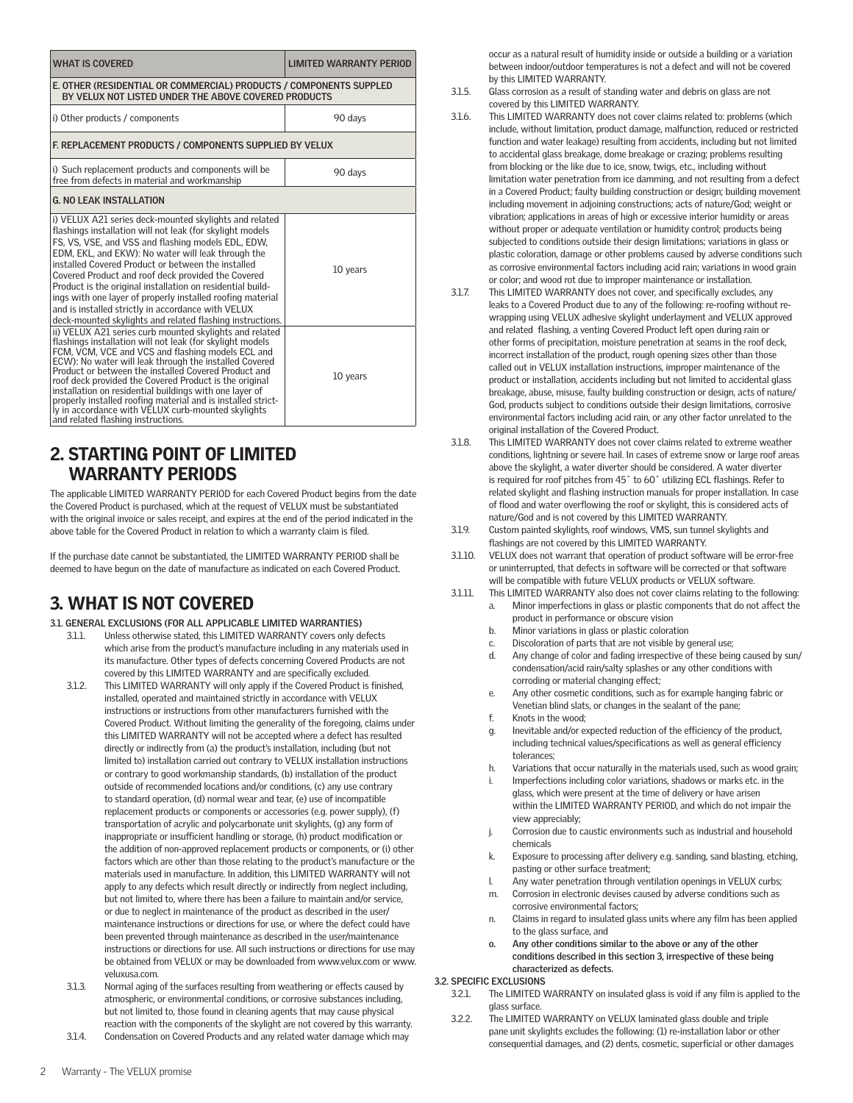| <b>WHAT IS COVERED</b>                                                                                                                                                                                                                                                                                                                                                                                                                                                                                                                                                                     | <b>LIMITED WARRANTY PERIOD</b> |  |
|--------------------------------------------------------------------------------------------------------------------------------------------------------------------------------------------------------------------------------------------------------------------------------------------------------------------------------------------------------------------------------------------------------------------------------------------------------------------------------------------------------------------------------------------------------------------------------------------|--------------------------------|--|
| E. OTHER (RESIDENTIAL OR COMMERCIAL) PRODUCTS / COMPONENTS SUPPLED<br>BY VELUX NOT LISTED UNDER THE ABOVE COVERED PRODUCTS                                                                                                                                                                                                                                                                                                                                                                                                                                                                 |                                |  |
| i) Other products / components                                                                                                                                                                                                                                                                                                                                                                                                                                                                                                                                                             | 90 days                        |  |
| F. REPLACEMENT PRODUCTS / COMPONENTS SUPPLIED BY VELUX                                                                                                                                                                                                                                                                                                                                                                                                                                                                                                                                     |                                |  |
| i) Such replacement products and components will be<br>free from defects in material and workmanship                                                                                                                                                                                                                                                                                                                                                                                                                                                                                       | 90 days                        |  |
| <b>G. NO LEAK INSTALLATION</b>                                                                                                                                                                                                                                                                                                                                                                                                                                                                                                                                                             |                                |  |
| i) VELUX A21 series deck-mounted skylights and related<br>flashings installation will not leak (for skylight models<br>FS, VS, VSE, and VSS and flashing models EDL, EDW,<br>EDM, EKL, and EKW): No water will leak through the<br>installed Covered Product or between the installed<br>Covered Product and roof deck provided the Covered<br>Product is the original installation on residential build-<br>ings with one layer of properly installed roofing material<br>and is installed strictly in accordance with VELUX<br>deck-mounted skylights and related flashing instructions. | 10 years                       |  |
| ii) VELUX A21 series curb mounted skylights and related<br>flashings installation will not leak (for skylight models<br>FCM, VCM, VCE and VCS and flashing models ECL and<br>ECW): No water will leak through the installed Covered<br>Product or between the installed Covered Product and<br>roof deck provided the Covered Product is the original<br>installation on residential buildings with one layer of<br>properly installed roofing material and is installed strict-<br>ly in accordance with VELUX curb-mounted skylights<br>and related flashing instructions.               | 10 years                       |  |

#### 2. STARTING POINT OF LIMITED WARRANTY PERIODS

The applicable LIMITED WARRANTY PERIOD for each Covered Product begins from the date the Covered Product is purchased, which at the request of VELUX must be substantiated with the original invoice or sales receipt, and expires at the end of the period indicated in the above table for the Covered Product in relation to which a warranty claim is filed.

If the purchase date cannot be substantiated, the LIMITED WARRANTY PERIOD shall be deemed to have begun on the date of manufacture as indicated on each Covered Product.

### 3. WHAT IS NOT COVERED

#### **3.1. GENERAL EXCLUSIONS (FOR ALL APPLICABLE LIMITED WARRANTIES)**

- 3.1.1. Unless otherwise stated, this LIMITED WARRANTY covers only defects which arise from the product's manufacture including in any materials used in its manufacture. Other types of defects concerning Covered Products are not covered by this LIMITED WARRANTY and are specifically excluded.
- 3.1.2. This LIMITED WARRANTY will only apply if the Covered Product is finished, installed, operated and maintained strictly in accordance with VELUX instructions or instructions from other manufacturers furnished with the Covered Product. Without limiting the generality of the foregoing, claims under this LIMITED WARRANTY will not be accepted where a defect has resulted directly or indirectly from (a) the product's installation, including (but not limited to) installation carried out contrary to VELUX installation instructions or contrary to good workmanship standards, (b) installation of the product outside of recommended locations and/or conditions, (c) any use contrary to standard operation, (d) normal wear and tear, (e) use of incompatible replacement products or components or accessories (e.g. power supply), (f) transportation of acrylic and polycarbonate unit skylights, (g) any form of inappropriate or insufficient handling or storage, (h) product modification or the addition of non-approved replacement products or components, or (i) other factors which are other than those relating to the product's manufacture or the materials used in manufacture. In addition, this LIMITED WARRANTY will not apply to any defects which result directly or indirectly from neglect including, but not limited to, where there has been a failure to maintain and/or service, or due to neglect in maintenance of the product as described in the user/ maintenance instructions or directions for use, or where the defect could have been prevented through maintenance as described in the user/maintenance instructions or directions for use. All such instructions or directions for use may be obtained from VELUX or may be downloaded from www.velux.com or www. veluxusa.com.
- 3.1.3. Normal aging of the surfaces resulting from weathering or effects caused by atmospheric, or environmental conditions, or corrosive substances including, but not limited to, those found in cleaning agents that may cause physical reaction with the components of the skylight are not covered by this warranty.
- 3.1.4. Condensation on Covered Products and any related water damage which may

occur as a natural result of humidity inside or outside a building or a variation between indoor/outdoor temperatures is not a defect and will not be covered by this LIMITED WARRANTY.

- 3.1.5. Glass corrosion as a result of standing water and debris on glass are not covered by this LIMITED WARRANTY.
- 3.1.6. This LIMITED WARRANTY does not cover claims related to: problems (which include, without limitation, product damage, malfunction, reduced or restricted function and water leakage) resulting from accidents, including but not limited to accidental glass breakage, dome breakage or crazing; problems resulting from blocking or the like due to ice, snow, twigs, etc., including without limitation water penetration from ice damming, and not resulting from a defect in a Covered Product; faulty building construction or design; building movement including movement in adjoining constructions; acts of nature/God; weight or vibration; applications in areas of high or excessive interior humidity or areas without proper or adequate ventilation or humidity control; products being subjected to conditions outside their design limitations; variations in glass or plastic coloration, damage or other problems caused by adverse conditions such as corrosive environmental factors including acid rain; variations in wood grain or color; and wood rot due to improper maintenance or installation.
- 3.1.7. This LIMITED WARRANTY does not cover, and specifically excludes, any leaks to a Covered Product due to any of the following: re-roofing without rewrapping using VELUX adhesive skylight underlayment and VELUX approved and related flashing, a venting Covered Product left open during rain or other forms of precipitation, moisture penetration at seams in the roof deck, incorrect installation of the product, rough opening sizes other than those called out in VELUX installation instructions, improper maintenance of the product or installation, accidents including but not limited to accidental glass breakage, abuse, misuse, faulty building construction or design, acts of nature/ God, products subject to conditions outside their design limitations, corrosive environmental factors including acid rain, or any other factor unrelated to the original installation of the Covered Product.
- 3.1.8. This LIMITED WARRANTY does not cover claims related to extreme weather conditions, lightning or severe hail. In cases of extreme snow or large roof areas above the skylight, a water diverter should be considered. A water diverter is required for roof pitches from 45˚ to 60˚ utilizing ECL flashings. Refer to related skylight and flashing instruction manuals for proper installation. In case of flood and water overflowing the roof or skylight, this is considered acts of nature/God and is not covered by this LIMITED WARRANTY.
- 3.1.9. Custom painted skylights, roof windows, VMS, sun tunnel skylights and flashings are not covered by this LIMITED WARRANTY.
- 3.1.10. VELUX does not warrant that operation of product software will be error-free or uninterrupted, that defects in software will be corrected or that software will be compatible with future VELUX products or VELUX software.
- 3.1.11. This LIMITED WARRANTY also does not cover claims relating to the following: a. Minor imperfections in glass or plastic components that do not affect the product in performance or obscure vision
	- b. Minor variations in glass or plastic coloration
	- c. Discoloration of parts that are not visible by general use;
	- d. Any change of color and fading irrespective of these being caused by sun/ condensation/acid rain/salty splashes or any other conditions with corroding or material changing effect;
	- e. Any other cosmetic conditions, such as for example hanging fabric or Venetian blind slats, or changes in the sealant of the pane;
	- f. Knots in the wood;
	- g. Inevitable and/or expected reduction of the efficiency of the product, including technical values/specifications as well as general efficiency tolerances;
	- h. Variations that occur naturally in the materials used, such as wood grain;
	- i. Imperfections including color variations, shadows or marks etc. in the glass, which were present at the time of delivery or have arisen within the LIMITED WARRANTY PERIOD, and which do not impair the view appreciably;
	- j. Corrosion due to caustic environments such as industrial and household chemicals
	- k. Exposure to processing after delivery e.g. sanding, sand blasting, etching, pasting or other surface treatment;
	- l. Any water penetration through ventilation openings in VELUX curbs;
	- m. Corrosion in electronic devises caused by adverse conditions such as corrosive environmental factors;
	- n. Claims in regard to insulated glass units where any film has been applied to the glass surface, and
	- **o. Any other conditions similar to the above or any of the other conditions described in this section 3, irrespective of these being characterized as defects.**

### **3.2. SPECIFIC EXCLUSIONS**<br>**3.2.1** The LIMITED V

- The LIMITED WARRANTY on insulated glass is void if any film is applied to the glass surface.
- 3.2.2. The LIMITED WARRANTY on VELUX laminated glass double and triple pane unit skylights excludes the following: (1) re-installation labor or other consequential damages, and (2) dents, cosmetic, superficial or other damages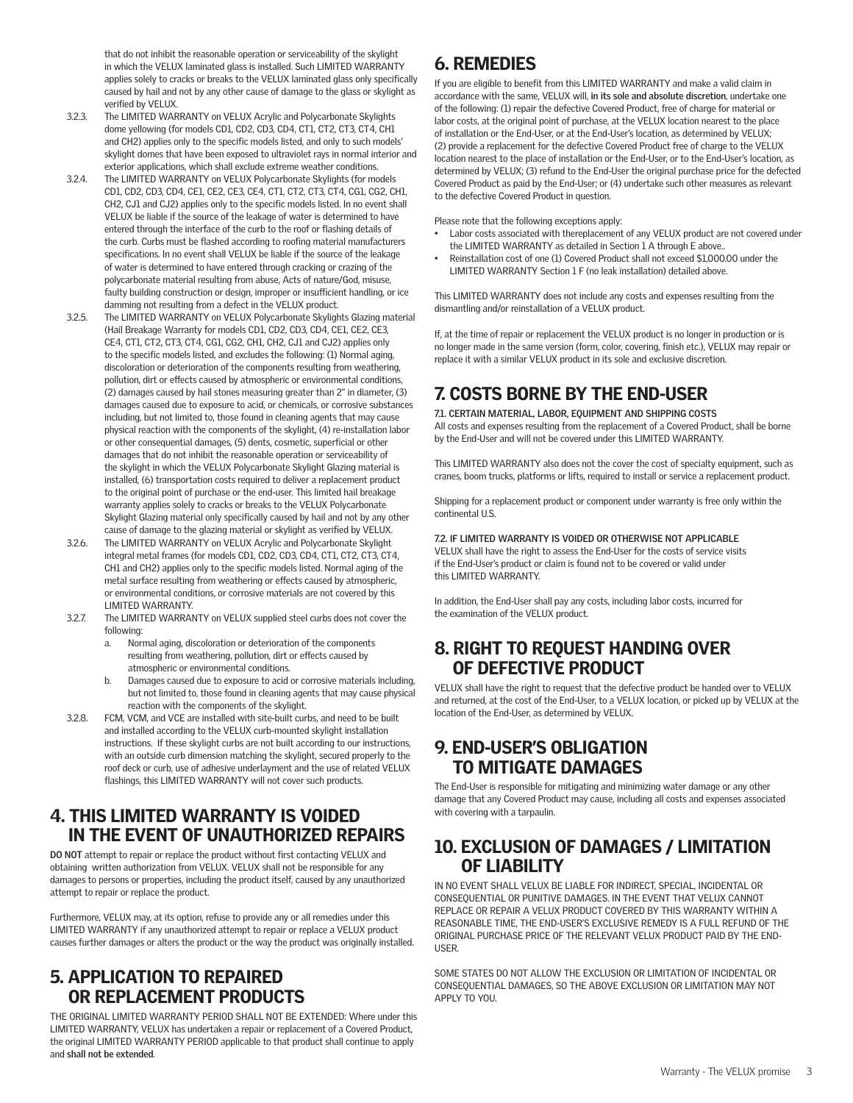that do not inhibit the reasonable operation or serviceability of the skylight in which the VELUX laminated glass is installed. Such LIMITED WARRANTY applies solely to cracks or breaks to the VELUX laminated glass only specifically caused by hail and not by any other cause of damage to the glass or skylight as verified by VELUX.

- 3.2.3. The LIMITED WARRANTY on VELUX Acrylic and Polycarbonate Skylights dome yellowing (for models CD1, CD2, CD3, CD4, CT1, CT2, CT3, CT4, CH1 and CH2) applies only to the specific models listed, and only to such models' skylight domes that have been exposed to ultraviolet rays in normal interior and exterior applications, which shall exclude extreme weather conditions.
- 3.2.4. The LIMITED WARRANTY on VELUX Polycarbonate Skylights (for models CD1, CD2, CD3, CD4, CE1, CE2, CE3, CE4, CT1, CT2, CT3, CT4, CG1, CG2, CH1, CH2, CJ1 and CJ2) applies only to the specific models listed. In no event shall VELUX be liable if the source of the leakage of water is determined to have entered through the interface of the curb to the roof or flashing details of the curb. Curbs must be flashed according to roofing material manufacturers specifications. In no event shall VELUX be liable if the source of the leakage of water is determined to have entered through cracking or crazing of the polycarbonate material resulting from abuse, Acts of nature/God, misuse, faulty building construction or design, improper or insufficient handling, or ice damming not resulting from a defect in the VELUX product.
- 3.2.5. The LIMITED WARRANTY on VELUX Polycarbonate Skylights Glazing material (Hail Breakage Warranty for models CD1, CD2, CD3, CD4, CE1, CE2, CE3, CE4, CT1, CT2, CT3, CT4, CG1, CG2, CH1, CH2, CJ1 and CJ2) applies only to the specific models listed, and excludes the following: (1) Normal aging, discoloration or deterioration of the components resulting from weathering, pollution, dirt or effects caused by atmospheric or environmental conditions, (2) damages caused by hail stones measuring greater than 2" in diameter, (3) damages caused due to exposure to acid, or chemicals, or corrosive substances including, but not limited to, those found in cleaning agents that may cause physical reaction with the components of the skylight, (4) re-installation labor or other consequential damages, (5) dents, cosmetic, superficial or other damages that do not inhibit the reasonable operation or serviceability of the skylight in which the VELUX Polycarbonate Skylight Glazing material is installed, (6) transportation costs required to deliver a replacement product to the original point of purchase or the end-user. This limited hail breakage warranty applies solely to cracks or breaks to the VELUX Polycarbonate Skylight Glazing material only specifically caused by hail and not by any other cause of damage to the glazing material or skylight as verified by VELUX.
- 3.2.6. The LIMITED WARRANTY on VELUX Acrylic and Polycarbonate Skylight integral metal frames (for models CD1, CD2, CD3, CD4, CT1, CT2, CT3, CT4, CH1 and CH2) applies only to the specific models listed. Normal aging of the metal surface resulting from weathering or effects caused by atmospheric, or environmental conditions, or corrosive materials are not covered by this LIMITED WARRANTY.
- 3.2.7. The LIMITED WARRANTY on VELUX supplied steel curbs does not cover the following:
	- a. Normal aging, discoloration or deterioration of the components resulting from weathering, pollution, dirt or effects caused by atmospheric or environmental conditions.
	- b. Damages caused due to exposure to acid or corrosive materials including, but not limited to, those found in cleaning agents that may cause physical reaction with the components of the skylight.
- 3.2.8. FCM, VCM, and VCE are installed with site-built curbs, and need to be built and installed according to the VELUX curb-mounted skylight installation instructions. If these skylight curbs are not built according to our instructions, with an outside curb dimension matching the skylight, secured properly to the roof deck or curb, use of adhesive underlayment and the use of related VELUX flashings, this LIMITED WARRANTY will not cover such products.

#### 4. THIS LIMITED WARRANTY IS VOIDED IN THE EVENT OF UNAUTHORIZED REPAIRS

**DO NOT** attempt to repair or replace the product without first contacting VELUX and obtaining written authorization from VELUX. VELUX shall not be responsible for any damages to persons or properties, including the product itself, caused by any unauthorized attempt to repair or replace the product.

Furthermore, VELUX may, at its option, refuse to provide any or all remedies under this LIMITED WARRANTY if any unauthorized attempt to repair or replace a VELUX product causes further damages or alters the product or the way the product was originally installed.

#### 5. APPLICATION TO REPAIRED OR REPLACEMENT PRODUCTS

THE ORIGINAL LIMITED WARRANTY PERIOD SHALL NOT BE EXTENDED: Where under this LIMITED WARRANTY, VELUX has undertaken a repair or replacement of a Covered Product, the original LIMITED WARRANTY PERIOD applicable to that product shall continue to apply and **shall not be extended**.

### 6. REMEDIES

If you are eligible to benefit from this LIMITED WARRANTY and make a valid claim in accordance with the same, VELUX will, **in its sole and absolute discretion**, undertake one of the following: (1) repair the defective Covered Product, free of charge for material or labor costs, at the original point of purchase, at the VELUX location nearest to the place of installation or the End-User, or at the End-User's location, as determined by VELUX; (2) provide a replacement for the defective Covered Product free of charge to the VELUX location nearest to the place of installation or the End-User, or to the End-User's location, as determined by VELUX; (3) refund to the End-User the original purchase price for the defected Covered Product as paid by the End-User; or (4) undertake such other measures as relevant to the defective Covered Product in question.

Please note that the following exceptions apply:

- Labor costs associated with thereplacement of any VELUX product are not covered under the LIMITED WARRANTY as detailed in Section 1 A through E above..
- Reinstallation cost of one (1) Covered Product shall not exceed \$1,000.00 under the LIMITED WARRANTY Section 1 F (no leak installation) detailed above.

This LIMITED WARRANTY does not include any costs and expenses resulting from the dismantling and/or reinstallation of a VELUX product.

If, at the time of repair or replacement the VELUX product is no longer in production or is no longer made in the same version (form, color, covering, finish etc.), VELUX may repair or replace it with a similar VELUX product in its sole and exclusive discretion.

## 7. COSTS BORNE BY THE END-USER

**7.1. CERTAIN MATERIAL, LABOR, EQUIPMENT AND SHIPPING COSTS** 

All costs and expenses resulting from the replacement of a Covered Product, shall be borne by the End-User and will not be covered under this LIMITED WARRANTY.

This LIMITED WARRANTY also does not the cover the cost of specialty equipment, such as cranes, boom trucks, platforms or lifts, required to install or service a replacement product.

Shipping for a replacement product or component under warranty is free only within the continental U.S.

**7.2. IF LIMITED WARRANTY IS VOIDED OR OTHERWISE NOT APPLICABLE** VELUX shall have the right to assess the End-User for the costs of service visits if the End-User's product or claim is found not to be covered or valid under this LIMITED WARRANTY.

In addition, the End-User shall pay any costs, including labor costs, incurred for the examination of the VELUX product.

#### 8. RIGHT TO REQUEST HANDING OVER OF DEFECTIVE PRODUCT

VELUX shall have the right to request that the defective product be handed over to VELUX and returned, at the cost of the End-User, to a VELUX location, or picked up by VELUX at the location of the End-User, as determined by VELUX.

### 9. END-USER'S OBLIGATION TO MITIGATE DAMAGES

The End-User is responsible for mitigating and minimizing water damage or any other damage that any Covered Product may cause, including all costs and expenses associated with covering with a tarpaulin.

#### 10. EXCLUSION OF DAMAGES / LIMITATION OF LIABILITY

IN NO EVENT SHALL VELUX BE LIABLE FOR INDIRECT, SPECIAL, INCIDENTAL OR CONSEQUENTIAL OR PUNITIVE DAMAGES. IN THE EVENT THAT VELUX CANNOT REPLACE OR REPAIR A VELUX PRODUCT COVERED BY THIS WARRANTY WITHIN A REASONABLE TIME, THE END-USER'S EXCLUSIVE REMEDY IS A FULL REFUND OF THE ORIGINAL PURCHASE PRICE OF THE RELEVANT VELUX PRODUCT PAID BY THE END-USER.

SOME STATES DO NOT ALLOW THE EXCLUSION OR LIMITATION OF INCIDENTAL OR CONSEQUENTIAL DAMAGES, SO THE ABOVE EXCLUSION OR LIMITATION MAY NOT APPLY TO YOU.